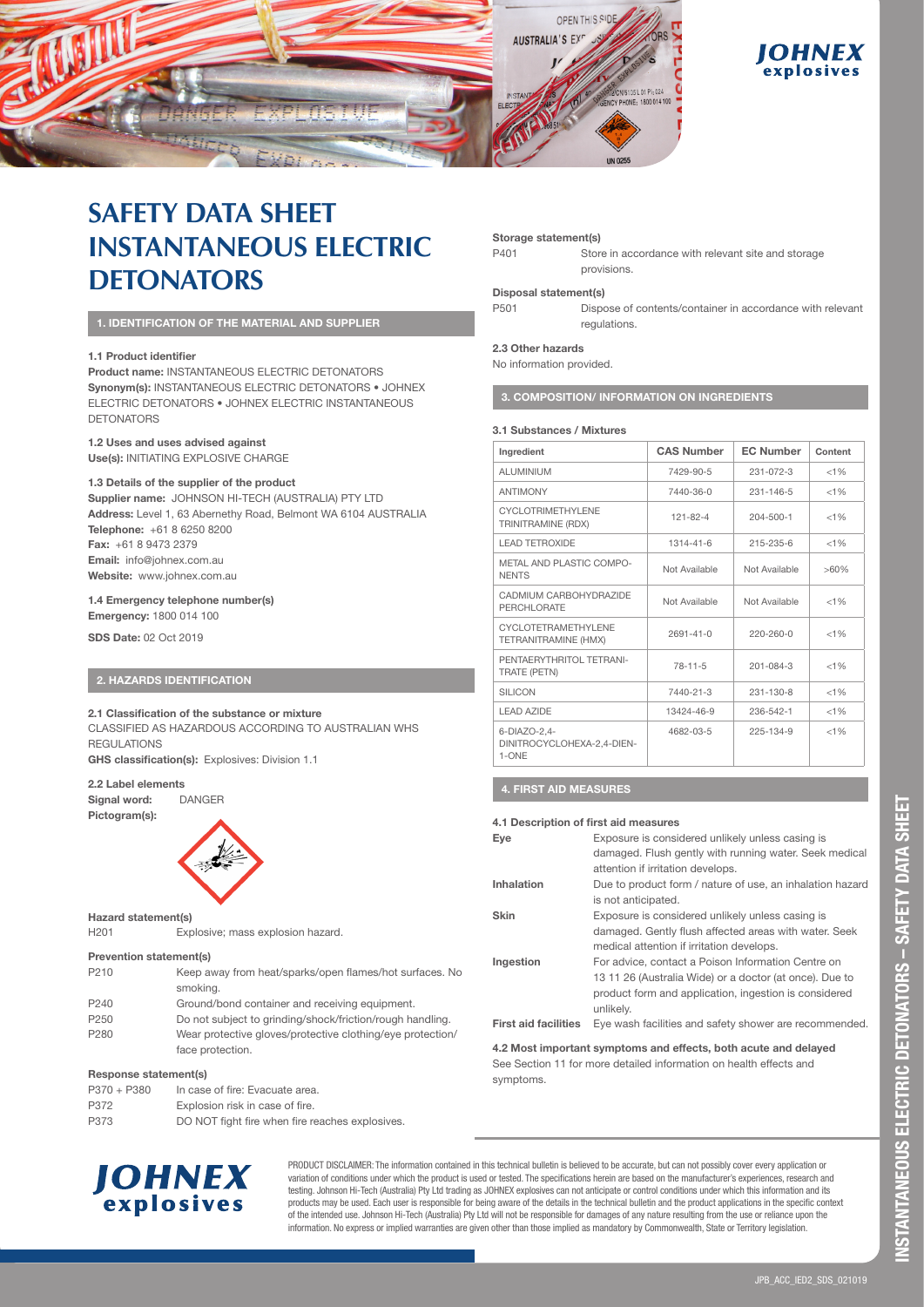

# **OHNEX** explosives

# **SAFETY DATA SHEET INSTANTANEOUS ELECTRIC DETONATORS**

# **1. IDENTIFICATION OF THE MATERIAL AND SUPPLIER**

# **1.1 Product identifier**

**Product name:** INSTANTANEOUS ELECTRIC DETONATORS **Synonym(s):** INSTANTANEOUS ELECTRIC DETONATORS • JOHNEX ELECTRIC DETONATORS • JOHNEX ELECTRIC INSTANTANEOUS DETONATORS

# **1.2 Uses and uses advised against**

**Use(s):** INITIATING EXPLOSIVE CHARGE

# **1.3 Details of the supplier of the product**

**Supplier name:** JOHNSON HI-TECH (AUSTRALIA) PTY LTD **Address:** Level 1, 63 Abernethy Road, Belmont WA 6104 AUSTRALIA **Telephone:** +61 8 6250 8200 **Fax:** +61 8 9473 2379 **Email:** info@johnex.com.au **Website:** www.johnex.com.au

# **1.4 Emergency telephone number(s)**

**Emergency:** 1800 014 100

**SDS Date:** 02 Oct 2019

# **2. HAZARDS IDENTIFICATION**

### **2.1 Classification of the substance or mixture**

CLASSIFIED AS HAZARDOUS ACCORDING TO AUSTRALIAN WHS **REGULATIONS** 

**GHS classification(s):** Explosives: Division 1.1

### **2.2 Label elements**

**Signal word:** DANGER

**Pictogram(s):**



# **Hazard statement(s)**

H201 Explosive; mass explosion hazard.

### **Prevention statement(s)**

| P210 | Keep away from heat/sparks/open flames/hot surfaces. No |
|------|---------------------------------------------------------|
|      | smoking.                                                |

| P <sub>240</sub> | Ground/bond container and receiving equipment.             |
|------------------|------------------------------------------------------------|
| P <sub>250</sub> | Do not subject to grinding/shock/friction/rough handling.  |
| P280             | Wear protective gloves/protective clothing/eye protection/ |
|                  | face protection.                                           |

### **Response statement(s)**

| $P370 + P380$ | In case of fire: Evacuate area.                 |
|---------------|-------------------------------------------------|
| P372          | Explosion risk in case of fire.                 |
| P373          | DO NOT fight fire when fire reaches explosives. |



PRODUCT DISCLAIMER: The information contained in this technical bulletin is believed to be accurate, but can not possibly cover every application or variation of conditions under which the product is used or tested. The specifications herein are based on the manufacturer's experiences, research and testing. Johnson Hi-Tech (Australia) Pty Ltd trading as JOHNEX explosives can not anticipate or control conditions under which this information and its products may be used. Each user is responsible for being aware of the details in the technical bulletin and the product applications in the specific context of the intended use. Johnson Hi-Tech (Australia) Pty Ltd will not be responsible for damages of any nature resulting from the use or reliance upon the information. No express or implied warranties are given other than those implied as mandatory by Commonwealth, State or Territory legislation.

#### **Storage statement(s)**

| P401 | Store in accordance with relevant site and storage |
|------|----------------------------------------------------|
|      | provisions                                         |

### **Disposal statement(s)**

P501 Dispose of contents/container in accordance with relevant regulations.

#### **2.3 Other hazards**

No information provided.

**3. COMPOSITION/ INFORMATION ON INGREDIENTS** 

### **3.1 Substances / Mixtures**

| Ingredient                                          | <b>CAS Number</b> | <b>EC Number</b> | Content |
|-----------------------------------------------------|-------------------|------------------|---------|
| ALUMINIUM                                           | 7429-90-5         | $231 - 072 - 3$  | $< 1\%$ |
| <b>ANTIMONY</b>                                     | 7440-36-0         | $231 - 146 - 5$  | < 1%    |
| CYCLOTRIMETHYLENE<br>TRINITRAMINE (RDX)             | $121 - 82 - 4$    | $204 - 500 - 1$  | < 1%    |
| <b>LEAD TETROXIDE</b>                               | $1314 - 41 - 6$   | 215-235-6        | < 1%    |
| METAL AND PLASTIC COMPO-<br><b>NENTS</b>            | Not Available     | Not Available    | $>60\%$ |
| CADMIUM CARBOHYDRAZIDE<br><b>PERCHLORATE</b>        | Not Available     | Not Available    | < 1%    |
| CYCLOTETRAMETHYLENE<br>TETRANITRAMINE (HMX)         | $2691 - 41 - 0$   | $220 - 260 - 0$  | < 1%    |
| PENTAERYTHRITOL TETRANI-<br>TRATE (PETN)            | $78 - 11 - 5$     | $201 - 084 - 3$  | < 1%    |
| <b>SILICON</b>                                      | 7440-21-3         | $231 - 130 - 8$  | < 1%    |
| <b>LEAD AZIDE</b>                                   | 13424-46-9        | 236-542-1        | < 1%    |
| 6-DIAZO-2,4-<br>DINITROCYCLOHEXA-2,4-DIEN-<br>1-ONE | 4682-03-5         | 225-134-9        | < 1%    |

# **4. FIRST AID MEASURES**

### **4.1 Description of first aid measures**

| Eye                         | Exposure is considered unlikely unless casing is          |
|-----------------------------|-----------------------------------------------------------|
|                             | damaged. Flush gently with running water. Seek medical    |
|                             | attention if irritation develops.                         |
| Inhalation                  | Due to product form / nature of use, an inhalation hazard |
|                             | is not anticipated.                                       |
| <b>Skin</b>                 | Exposure is considered unlikely unless casing is          |
|                             | damaged. Gently flush affected areas with water. Seek     |
|                             | medical attention if irritation develops.                 |
| Ingestion                   | For advice, contact a Poison Information Centre on        |
|                             | 13 11 26 (Australia Wide) or a doctor (at once). Due to   |
|                             | product form and application, ingestion is considered     |
|                             | unlikelv.                                                 |
| <b>First aid facilities</b> | Eye wash facilities and safety shower are recommended.    |

**4.2 Most important symptoms and effects, both acute and delayed**  See Section 11 for more detailed information on health effects and symptoms.

# JPB\_ACC\_IED2\_SDS\_021019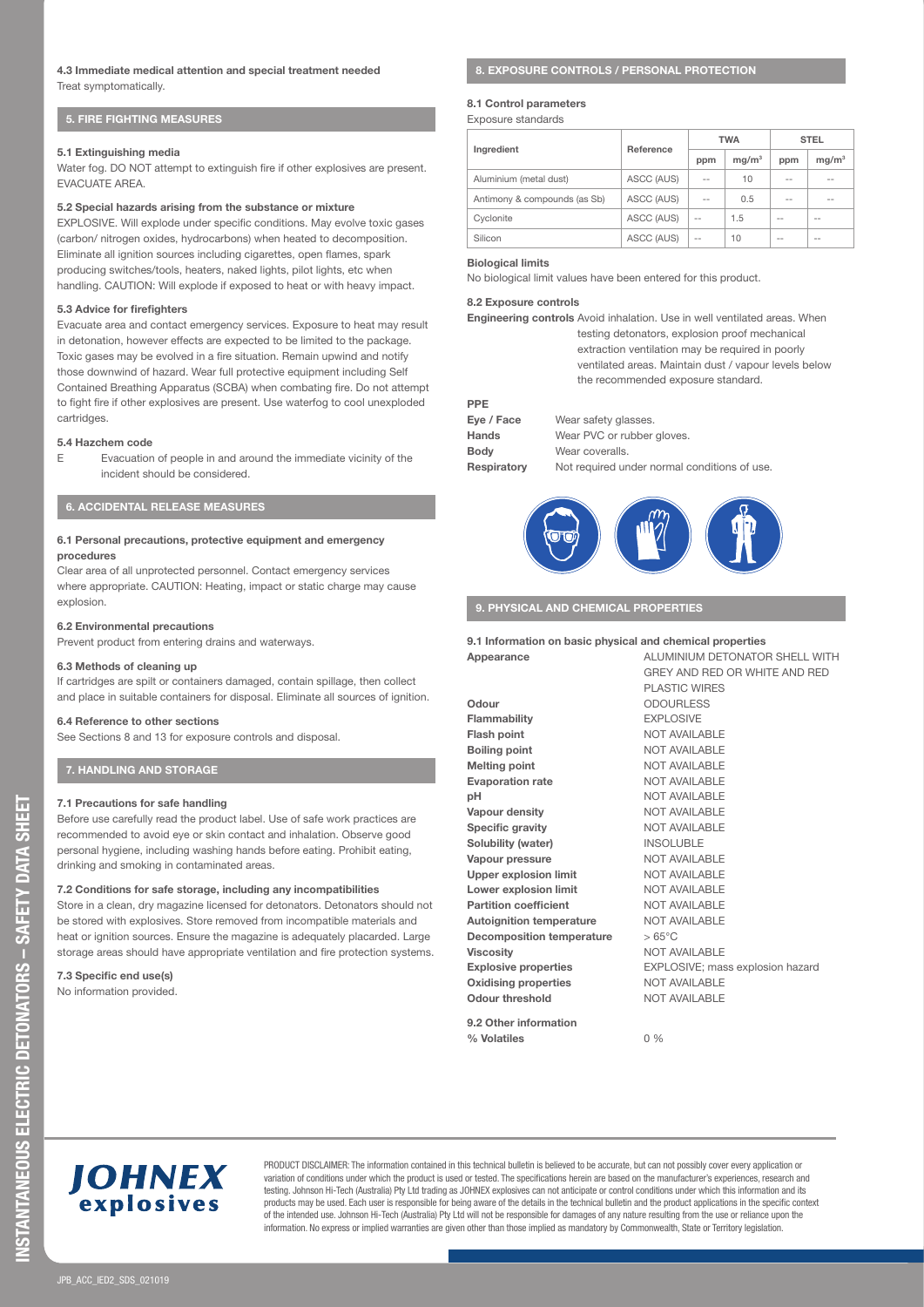# **4.3 Immediate medical attention and special treatment needed**  Treat symptomatically.

# **5. FIRE FIGHTING MEASURES**

### **5.1 Extinguishing media**

Water fog. DO NOT attempt to extinguish fire if other explosives are present. **EVACUATE AREA** 

### **5.2 Special hazards arising from the substance or mixture**

EXPLOSIVE. Will explode under specific conditions. May evolve toxic gases (carbon/ nitrogen oxides, hydrocarbons) when heated to decomposition. Eliminate all ignition sources including cigarettes, open flames, spark producing switches/tools, heaters, naked lights, pilot lights, etc when handling. CAUTION: Will explode if exposed to heat or with heavy impact.

### **5.3 Advice for firefighters**

Evacuate area and contact emergency services. Exposure to heat may result in detonation, however effects are expected to be limited to the package. Toxic gases may be evolved in a fire situation. Remain upwind and notify those downwind of hazard. Wear full protective equipment including Self Contained Breathing Apparatus (SCBA) when combating fire. Do not attempt to fight fire if other explosives are present. Use waterfog to cool unexploded cartridges.

#### **5.4 Hazchem code**

E Evacuation of people in and around the immediate vicinity of the incident should be considered.

# **6. ACCIDENTAL RELEASE MEASURES**

### **6.1 Personal precautions, protective equipment and emergency procedures**

Clear area of all unprotected personnel. Contact emergency services where appropriate. CAUTION: Heating, impact or static charge may cause explosion.

#### **6.2 Environmental precautions**

Prevent product from entering drains and waterways.

### **6.3 Methods of cleaning up**

If cartridges are spilt or containers damaged, contain spillage, then collect and place in suitable containers for disposal. Eliminate all sources of ignition.

#### **6.4 Reference to other sections**

See Sections 8 and 13 for exposure controls and disposal.

# **7. HANDLING AND STORAGE**

### **7.1 Precautions for safe handling**

Before use carefully read the product label. Use of safe work practices are recommended to avoid eye or skin contact and inhalation. Observe good personal hygiene, including washing hands before eating. Prohibit eating, drinking and smoking in contaminated areas.

### **7.2 Conditions for safe storage, including any incompatibilities**

Store in a clean, dry magazine licensed for detonators. Detonators should not be stored with explosives. Store removed from incompatible materials and heat or ignition sources. Ensure the magazine is adequately placarded. Large storage areas should have appropriate ventilation and fire protection systems.

### **7.3 Specific end use(s)**

No information provided.

# **8. EXPOSURE CONTROLS / PERSONAL PROTECTION**

# **8.1 Control parameters**

Exposure standards

| Ingredient                   | Reference  | <b>TWA</b>     |                   | <b>STEL</b> |                   |
|------------------------------|------------|----------------|-------------------|-------------|-------------------|
|                              |            | ppm            | mg/m <sup>3</sup> | ppm         | mg/m <sup>3</sup> |
| Aluminium (metal dust)       | ASCC (AUS) | $\overline{a}$ | 10                | $- -$       | --                |
| Antimony & compounds (as Sb) | ASCC (AUS) | $\overline{a}$ | 0.5               | $- -$       | --                |
| Cyclonite                    | ASCC (AUS) | $-$            | 1.5               | $-$         | --                |
| Silicon                      | ASCC (AUS) | --             | 10                | $-$         | --                |

### **Biological limits**

No biological limit values have been entered for this product.

### **8.2 Exposure controls**

**Engineering controls** Avoid inhalation. Use in well ventilated areas. When testing detonators, explosion proof mechanical extraction ventilation may be required in poorly ventilated areas. Maintain dust / vapour levels below the recommended exposure standard.

#### **PPE**

| Eye / Face  | Wear safety glasses.                         |
|-------------|----------------------------------------------|
| Hands       | Wear PVC or rubber gloves.                   |
| <b>Body</b> | Wear coveralls.                              |
| Respiratory | Not required under normal conditions of use. |



# **9. PHYSICAL AND CHEMICAL PROPERTIES**

### **9.1 Information on basic physical and chemical properties**

**Appearance** ALUMINIUM DETONATOR SHELL WITH GREY AND RED OR WHITE AND RED PLASTIC WIRES **Odour** ODOURLESS Flammability EXPLOSIVE **Flash point** NOT AVAILABLE **Boiling point MOT AVAILABLE Melting point MOT AVAILABLE Evaporation rate MOT AVAILABLE pH** NOT AVAILABLE **Vapour density NOT AVAILABLE Specific gravity NOT AVAILABLE Solubility (water)** INSOLUBLE **Vapour pressure MOT AVAILABLE Upper explosion limit WATER NOT AVAILABLE Lower explosion limit** NOT AVAILABLE **Partition coefficient MOT AVAILABLE Autoignition temperature** NOT AVAILABLE **Decomposition temperature** > 65°C **Viscosity** NOT AVAILABLE **Explosive properties** EXPLOSIVE; mass explosion hazard **Oxidising properties MOT AVAILABLE Odour threshold NOT AVAILABLE** 

**% Volatiles** 0 %



PRODUCT DISCLAIMER: The information contained in this technical bulletin is believed to be accurate, but can not possibly cover every application or variation of conditions under which the product is used or tested. The specifications herein are based on the manufacturer's experiences, research and testing. Johnson Hi-Tech (Australia) Pty Ltd trading as JOHNEX explosives can not anticipate or control conditions under which this information and its products may be used. Each user is responsible for being aware of the details in the technical bulletin and the product applications in the specific context of the intended use. Johnson Hi-Tech (Australia) Pty Ltd will not be responsible for damages of any nature resulting from the use or reliance upon the information. No express or implied warranties are given other than those implied as mandatory by Commonwealth, State or Territory legislation.

**9.2 Other information**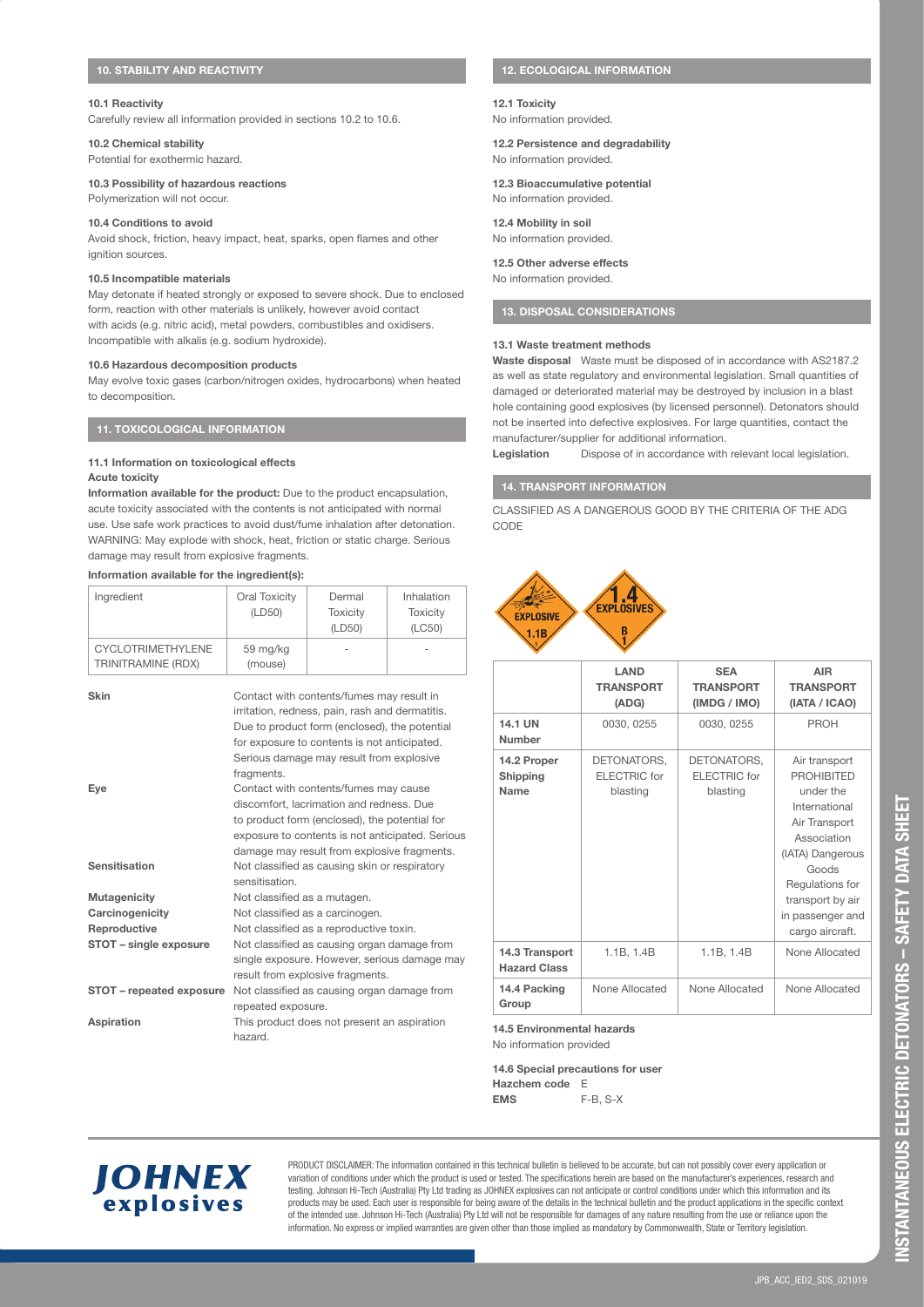### **10.1 Reactivity**

Carefully review all information provided in sections 10.2 to 10.6.

# **10.2 Chemical stability**

Potential for exothermic hazard.

# **10.3 Possibility of hazardous reactions**

Polymerization will not occur.

### **10.4 Conditions to avoid**

Avoid shock, friction, heavy impact, heat, sparks, open flames and other ignition sources.

### **10.5 Incompatible materials**

May detonate if heated strongly or exposed to severe shock. Due to enclosed form, reaction with other materials is unlikely, however avoid contact with acids (e.g. nitric acid), metal powders, combustibles and oxidisers. Incompatible with alkalis (e.g. sodium hydroxide).

# **10.6 Hazardous decomposition products**

May evolve toxic gases (carbon/nitrogen oxides, hydrocarbons) when heated to decomposition.

# **11. TOXICOLOGICAL INFORMATION**

### **11.1 Information on toxicological effects Acute toxicity**

**Information available for the product:** Due to the product encapsulation, acute toxicity associated with the contents is not anticipated with normal use. Use safe work practices to avoid dust/fume inhalation after detonation. WARNING: May explode with shock, heat, friction or static charge. Serious damage may result from explosive fragments.

# **Information available for the ingredient(s):**

| Ingredient                                     | Oral Toxicity<br>(LD50) | Dermal<br><b>Toxicity</b><br>(LD50) | Inhalation<br><b>Toxicity</b><br>(LC50) |
|------------------------------------------------|-------------------------|-------------------------------------|-----------------------------------------|
| <b>CYCLOTRIMETHYLENE</b><br>TRINITRAMINE (RDX) | 59 mg/kg<br>(mouse)     | -                                   | -                                       |

| Skin                     | Contact with contents/fumes may result in        |
|--------------------------|--------------------------------------------------|
|                          | irritation, redness, pain, rash and dermatitis.  |
|                          | Due to product form (enclosed), the potential    |
|                          |                                                  |
|                          | for exposure to contents is not anticipated.     |
|                          | Serious damage may result from explosive         |
|                          | fragments.                                       |
| Eye                      | Contact with contents/fumes may cause            |
|                          | discomfort, lacrimation and redness, Due         |
|                          | to product form (enclosed), the potential for    |
|                          | exposure to contents is not anticipated. Serious |
|                          | damage may result from explosive fragments.      |
| Sensitisation            | Not classified as causing skin or respiratory    |
|                          | sensitisation                                    |
| Mutagenicity             | Not classified as a mutagen.                     |
| Carcinogenicity          | Not classified as a carcinogen.                  |
| Reproductive             | Not classified as a reproductive toxin.          |
| STOT - single exposure   | Not classified as causing organ damage from      |
|                          | single exposure. However, serious damage may     |
|                          | result from explosive fragments.                 |
| STOT - repeated exposure | Not classified as causing organ damage from      |
|                          | repeated exposure.                               |
| Aspiration               | This product does not present an aspiration      |
|                          | hazard.                                          |

# **12. ECOLOGICAL INFORMATION**

# **12.1 Toxicity**

No information provided.

**12.2 Persistence and degradability**  No information provided.

**12.3 Bioaccumulative potential**  No information provided.

**12.4 Mobility in soil**  No information provided.

### **12.5 Other adverse effects**

No information provided.

# **13. DISPOSAL CONSIDERATIONS**

### **13.1 Waste treatment methods**

**Waste disposal** Waste must be disposed of in accordance with AS2187.2 as well as state regulatory and environmental legislation. Small quantities of damaged or deteriorated material may be destroyed by inclusion in a blast hole containing good explosives (by licensed personnel). Detonators should not be inserted into defective explosives. For large quantities, contact the manufacturer/supplier for additional information.

Legislation **Dispose of in accordance with relevant local legislation.** 

# **14. TRANSPORT INFORMATION**

CLASSIFIED AS A DANGEROUS GOOD BY THE CRITERIA OF THE ADG CODE



|                                       | LAND<br><b>TRANSPORT</b><br>(ADG)              | <b>SEA</b><br><b>TRANSPORT</b><br>(IMDG / IMO) | <b>AIR</b><br><b>TRANSPORT</b><br>(IATA / ICAO)                                                                                                                                                             |
|---------------------------------------|------------------------------------------------|------------------------------------------------|-------------------------------------------------------------------------------------------------------------------------------------------------------------------------------------------------------------|
| 14.1 UN<br>Number                     | 0030, 0255                                     | 0030, 0255                                     | PROH                                                                                                                                                                                                        |
| 14.2 Proper<br>Shipping<br>Name       | DETONATORS,<br><b>ELECTRIC</b> for<br>blasting | DETONATORS,<br><b>ELECTRIC</b> for<br>blasting | Air transport<br><b>PROHIBITED</b><br>under the<br>International<br>Air Transport<br>Association<br>(IATA) Dangerous<br>Goods<br>Regulations for<br>transport by air<br>in passenger and<br>cargo aircraft. |
| 14.3 Transport<br><b>Hazard Class</b> | 1.1B, 1.4B                                     | 1.1B, 1.4B                                     | None Allocated                                                                                                                                                                                              |
| 14.4 Packing<br>Group                 | None Allocated                                 | None Allocated                                 | None Allocated                                                                                                                                                                                              |

**14.5 Environmental hazards** 

No information provided

**14.6 Special precautions for user Hazchem code** E **EMS** F-B, S-X



PRODUCT DISCLAIMER: The information contained in this technical bulletin is believed to be accurate, but can not possibly cover every application or variation of conditions under which the product is used or tested. The specifications herein are based on the manufacturer's experiences, research and testing. Johnson Hi-Tech (Australia) Pty Ltd trading as JOHNEX explosives can not anticipate or control conditions under which this information and its products may be used. Each user is responsible for being aware of the details in the technical bulletin and the product applications in the specific context of the intended use. Johnson Hi-Tech (Australia) Pty Ltd will not be responsible for damages of any nature resulting from the use or reliance upon the information. No express or implied warranties are given other than those implied as mandatory by Commonwealth, State or Territory legislation.